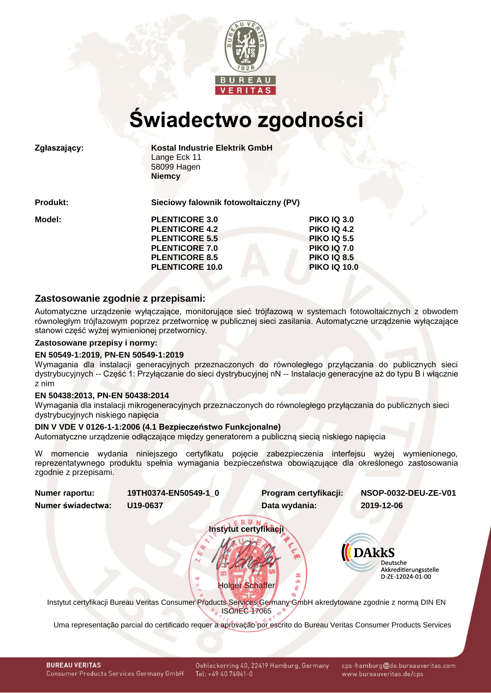

# **Świadectwo zgodności**

**Zgłaszający: Kostal Industrie Elektrik GmbH** Lange Eck 11 58099 Hagen **Niemcy**

**Produkt: Sieciowy falownik fotowoltaiczny (PV)**

**Model: PLENTICORE 3.0 PLENTICORE 4.2 PLENTICORE 5.5 PLENTICORE 7.0 PLENTICORE 8.5 PLENTICORE 10.0**

**PIKO IQ 3.0 PIKO IQ 4.2 PIKO IQ 5.5 PIKO IQ 7.0 PIKO IQ 8.5 PIKO IQ 10.0**

# **Zastosowanie zgodnie z przepisami:**

Automatyczne urządzenie wyłączające, monitorujące sieć trójfazową w systemach fotowoltaicznych z obwodem równoległym trójfazowym poprzez przetwornicę w publicznej sieci zasilania. Automatyczne urządzenie wyłączające stanowi część wyżej wymienionej przetwornicy.

## **Zastosowane przepisy i normy:**

# **EN 50549-1:2019, PN-EN 50549-1:2019**

Wymagania dla instalacji generacyjnych przeznaczonych do równoległego przyłączania do publicznych sieci dystrybucyjnych -- Część 1: Przyłączanie do sieci dystrybucyjnej nN -- Instalacje generacyjne aż do typu B i włącznie z nim

#### **EN 50438:2013, PN-EN 50438:2014**

Wymagania dla instalacji mikrogeneracyjnych przeznaczonych do równoległego przyłączania do publicznych sieci dystrybucyjnych niskiego napięcia

# **DIN V VDE V 0126-1-1:2006 (4.1 Bezpieczeństwo Funkcjonalne)**

Automatyczne urządzenie odłączające między generatorem a publiczną siecią niskiego napięcia

W momencie wydania niniejszego certyfikatu pojęcie zabezpieczenia interfejsu wyżej wymienionego, reprezentatywnego produktu spełnia wymagania bezpieczeństwa obowiązujące dla określonego zastosowania zgodnie z przepisami.

<span id="page-0-1"></span><span id="page-0-0"></span>

| Numer raportu:    | 19TH0374-EN50549-1 0                                                                                                  | Program certyfikacji:            | NSOP-0032-DEU-ZE-V01                                                         |
|-------------------|-----------------------------------------------------------------------------------------------------------------------|----------------------------------|------------------------------------------------------------------------------|
| Numer świadectwa: | U19-0637                                                                                                              | Data wydania:                    | 2019-12-06                                                                   |
|                   |                                                                                                                       | Instytut certyfikacji            |                                                                              |
|                   | ත<br>Instytut certyfikacji Bureau Veritas Consumer Products Services Germany GmbH akredytowane zgodnie z normą DIN EN | æ<br>۰<br><b>Holger Schaffer</b> | <b>DAkkS</b><br><b>Deutsche</b><br>Akkreditierungsstelle<br>D-ZE-12024-01-00 |
|                   |                                                                                                                       | <b>ISO/IEC 17065</b>             |                                                                              |

Uma representação parcial do certificado requer a aprovação por escrito do Bureau Veritas Consumer Products Services

**BUREAU VERITAS Consumer Products Services Germany GmbH**  Oehleckerring 40, 22419 Hamburg, Germany Tel: +49 40 74041-0

cps-hamburg@de.bureauveritas.com www.bureauveritas.de/cps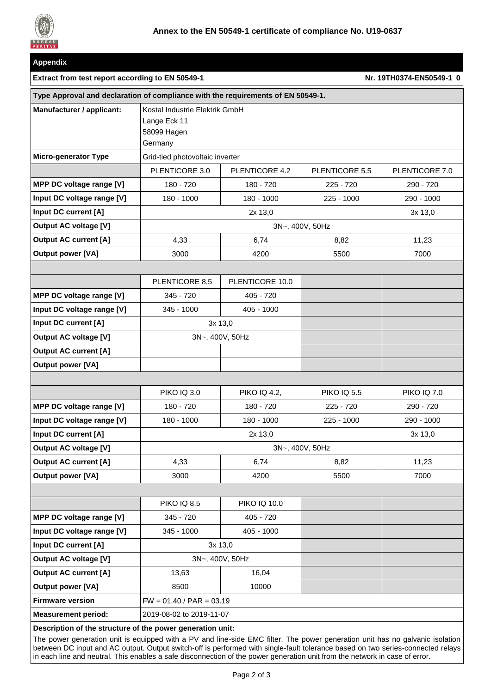

| <b>Appendix</b>                                                                                                                                                                             |                                                                          |                     |                    |                    |  |  |  |
|---------------------------------------------------------------------------------------------------------------------------------------------------------------------------------------------|--------------------------------------------------------------------------|---------------------|--------------------|--------------------|--|--|--|
| Extract from test report according to EN 50549-1<br>Nr. 19TH0374-EN50549-1_0                                                                                                                |                                                                          |                     |                    |                    |  |  |  |
| Type Approval and declaration of compliance with the requirements of EN 50549-1.                                                                                                            |                                                                          |                     |                    |                    |  |  |  |
| Manufacturer / applicant:                                                                                                                                                                   | Kostal Industrie Elektrik GmbH<br>Lange Eck 11<br>58099 Hagen<br>Germany |                     |                    |                    |  |  |  |
| <b>Micro-generator Type</b>                                                                                                                                                                 | Grid-tied photovoltaic inverter                                          |                     |                    |                    |  |  |  |
|                                                                                                                                                                                             | PLENTICORE 3.0                                                           | PLENTICORE 4.2      | PLENTICORE 5.5     | PLENTICORE 7.0     |  |  |  |
| MPP DC voltage range [V]                                                                                                                                                                    | 180 - 720                                                                | 180 - 720           | $225 - 720$        | 290 - 720          |  |  |  |
| Input DC voltage range [V]                                                                                                                                                                  | 180 - 1000                                                               | 180 - 1000          | 225 - 1000         | 290 - 1000         |  |  |  |
| Input DC current [A]                                                                                                                                                                        |                                                                          | 2x 13,0             |                    | 3x 13,0            |  |  |  |
| <b>Output AC voltage [V]</b>                                                                                                                                                                |                                                                          | 3N~, 400V, 50Hz     |                    |                    |  |  |  |
| <b>Output AC current [A]</b>                                                                                                                                                                | 4,33                                                                     | 6,74                | 8,82               | 11,23              |  |  |  |
| <b>Output power [VA]</b>                                                                                                                                                                    | 3000                                                                     | 4200                | 5500               | 7000               |  |  |  |
|                                                                                                                                                                                             |                                                                          |                     |                    |                    |  |  |  |
|                                                                                                                                                                                             | PLENTICORE 8.5                                                           | PLENTICORE 10.0     |                    |                    |  |  |  |
| MPP DC voltage range [V]                                                                                                                                                                    | 345 - 720                                                                | 405 - 720           |                    |                    |  |  |  |
| Input DC voltage range [V]                                                                                                                                                                  | 345 - 1000                                                               | 405 - 1000          |                    |                    |  |  |  |
| Input DC current [A]                                                                                                                                                                        | 3x 13,0                                                                  |                     |                    |                    |  |  |  |
| <b>Output AC voltage [V]</b>                                                                                                                                                                |                                                                          | 3N~, 400V, 50Hz     |                    |                    |  |  |  |
| <b>Output AC current [A]</b>                                                                                                                                                                |                                                                          |                     |                    |                    |  |  |  |
| <b>Output power [VA]</b>                                                                                                                                                                    |                                                                          |                     |                    |                    |  |  |  |
|                                                                                                                                                                                             |                                                                          |                     |                    |                    |  |  |  |
|                                                                                                                                                                                             | <b>PIKO IQ 3.0</b>                                                       | <b>PIKO IQ 4.2,</b> | <b>PIKO IQ 5.5</b> | <b>PIKO IQ 7.0</b> |  |  |  |
| MPP DC voltage range [V]                                                                                                                                                                    | 180 - 720                                                                | 180 - 720           | 225 - 720          | 290 - 720          |  |  |  |
| Input DC voltage range [V]                                                                                                                                                                  | 180 - 1000                                                               | 180 - 1000          | 225 - 1000         | 290 - 1000         |  |  |  |
| Input DC current [A]                                                                                                                                                                        |                                                                          | 3x 13,0<br>2x 13,0  |                    |                    |  |  |  |
| Output AC voltage [V]                                                                                                                                                                       | 3N~, 400V, 50Hz                                                          |                     |                    |                    |  |  |  |
| <b>Output AC current [A]</b>                                                                                                                                                                | 4,33                                                                     | 6,74                | 8,82               | 11,23              |  |  |  |
| <b>Output power [VA]</b>                                                                                                                                                                    | 3000                                                                     | 4200                | 5500               | 7000               |  |  |  |
|                                                                                                                                                                                             |                                                                          |                     |                    |                    |  |  |  |
|                                                                                                                                                                                             | <b>PIKO IQ 8.5</b>                                                       | <b>PIKO IQ 10.0</b> |                    |                    |  |  |  |
| MPP DC voltage range [V]                                                                                                                                                                    | 345 - 720                                                                | 405 - 720           |                    |                    |  |  |  |
| Input DC voltage range [V]                                                                                                                                                                  | 345 - 1000                                                               | 405 - 1000          |                    |                    |  |  |  |
| Input DC current [A]                                                                                                                                                                        | 3x 13,0                                                                  |                     |                    |                    |  |  |  |
| <b>Output AC voltage [V]</b>                                                                                                                                                                | 3N~, 400V, 50Hz                                                          |                     |                    |                    |  |  |  |
| <b>Output AC current [A]</b>                                                                                                                                                                | 13,63                                                                    | 16,04               |                    |                    |  |  |  |
| <b>Output power [VA]</b>                                                                                                                                                                    | 8500                                                                     | 10000               |                    |                    |  |  |  |
| <b>Firmware version</b>                                                                                                                                                                     | $FW = 01.40 / PAR = 03.19$                                               |                     |                    |                    |  |  |  |
| <b>Measurement period:</b>                                                                                                                                                                  | 2019-08-02 to 2019-11-07                                                 |                     |                    |                    |  |  |  |
| Description of the structure of the power generation unit:<br>The power generation unit is equipped with a PV and line-side EMC filter. The power generation unit has no galvanic isolation |                                                                          |                     |                    |                    |  |  |  |
|                                                                                                                                                                                             |                                                                          |                     |                    |                    |  |  |  |

between DC input and AC output. Output switch-off is performed with single-fault tolerance based on two series-connected relays

in each line and neutral. This enables a safe disconnection of the power generation unit from the network in case of error.